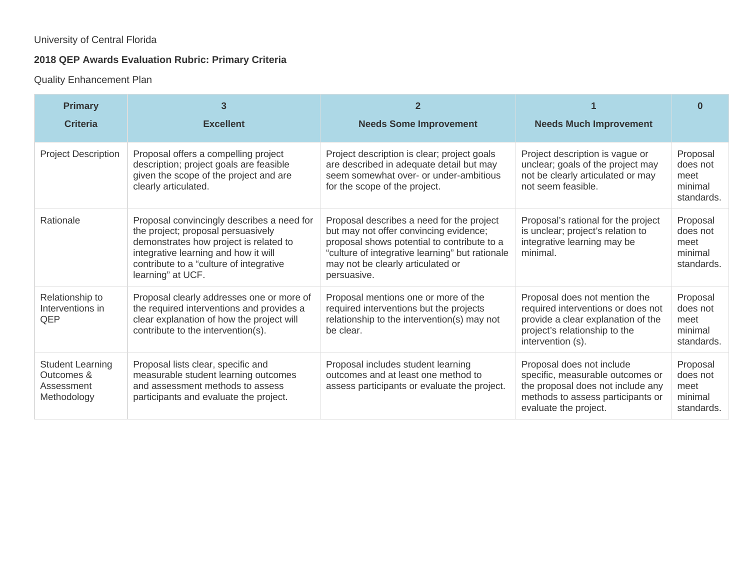## University of Central Florida

# **2018 QEP Awards Evaluation Rubric: Primary Criteria**

### Quality Enhancement Plan

| <b>Primary</b><br><b>Criteria</b>                                  | 3<br><b>Excellent</b>                                                                                                                                                                                                              | $\mathbf{2}$<br><b>Needs Some Improvement</b>                                                                                                                                                                                             | <b>Needs Much Improvement</b>                                                                                                                                    | ⋂                                                     |
|--------------------------------------------------------------------|------------------------------------------------------------------------------------------------------------------------------------------------------------------------------------------------------------------------------------|-------------------------------------------------------------------------------------------------------------------------------------------------------------------------------------------------------------------------------------------|------------------------------------------------------------------------------------------------------------------------------------------------------------------|-------------------------------------------------------|
| <b>Project Description</b>                                         | Proposal offers a compelling project<br>description; project goals are feasible<br>given the scope of the project and are<br>clearly articulated.                                                                                  | Project description is clear; project goals<br>are described in adequate detail but may<br>seem somewhat over- or under-ambitious<br>for the scope of the project.                                                                        | Project description is vague or<br>unclear; goals of the project may<br>not be clearly articulated or may<br>not seem feasible.                                  | Proposal<br>does not<br>meet<br>minimal<br>standards. |
| Rationale                                                          | Proposal convincingly describes a need for<br>the project; proposal persuasively<br>demonstrates how project is related to<br>integrative learning and how it will<br>contribute to a "culture of integrative<br>learning" at UCF. | Proposal describes a need for the project<br>but may not offer convincing evidence;<br>proposal shows potential to contribute to a<br>"culture of integrative learning" but rationale<br>may not be clearly articulated or<br>persuasive. | Proposal's rational for the project<br>is unclear; project's relation to<br>integrative learning may be<br>minimal.                                              | Proposal<br>does not<br>meet<br>minimal<br>standards. |
| Relationship to<br>Interventions in<br>QEP                         | Proposal clearly addresses one or more of<br>the required interventions and provides a<br>clear explanation of how the project will<br>contribute to the intervention(s).                                                          | Proposal mentions one or more of the<br>required interventions but the projects<br>relationship to the intervention(s) may not<br>be clear.                                                                                               | Proposal does not mention the<br>required interventions or does not<br>provide a clear explanation of the<br>project's relationship to the<br>intervention (s).  | Proposal<br>does not<br>meet<br>minimal<br>standards. |
| <b>Student Learning</b><br>Outcomes &<br>Assessment<br>Methodology | Proposal lists clear, specific and<br>measurable student learning outcomes<br>and assessment methods to assess<br>participants and evaluate the project.                                                                           | Proposal includes student learning<br>outcomes and at least one method to<br>assess participants or evaluate the project.                                                                                                                 | Proposal does not include<br>specific, measurable outcomes or<br>the proposal does not include any<br>methods to assess participants or<br>evaluate the project. | Proposal<br>does not<br>meet<br>minimal<br>standards. |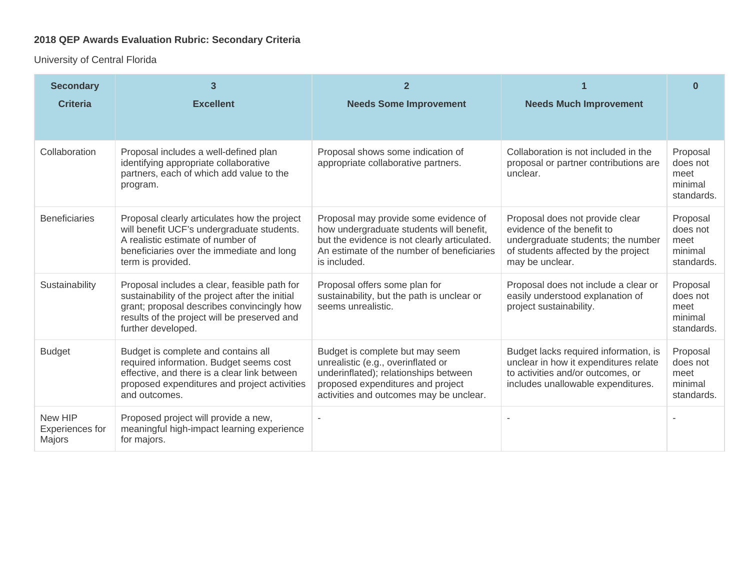# **2018 QEP Awards Evaluation Rubric: Secondary Criteria**

University of Central Florida

| <b>Secondary</b><br><b>Criteria</b>         | 3<br><b>Excellent</b>                                                                                                                                                                                                                    | $\mathbf{2}$<br><b>Needs Some Improvement</b>                                                                                                                                                  | <b>Needs Much Improvement</b>                                                                                                                             | <sup>0</sup>                                                        |
|---------------------------------------------|------------------------------------------------------------------------------------------------------------------------------------------------------------------------------------------------------------------------------------------|------------------------------------------------------------------------------------------------------------------------------------------------------------------------------------------------|-----------------------------------------------------------------------------------------------------------------------------------------------------------|---------------------------------------------------------------------|
| Collaboration                               | Proposal includes a well-defined plan<br>identifying appropriate collaborative<br>partners, each of which add value to the<br>program.                                                                                                   | Proposal shows some indication of<br>appropriate collaborative partners.                                                                                                                       | Collaboration is not included in the<br>proposal or partner contributions are<br>unclear.                                                                 | Proposal<br>does not<br>meet<br>minimal                             |
| <b>Beneficiaries</b>                        | Proposal clearly articulates how the project<br>will benefit UCF's undergraduate students.<br>A realistic estimate of number of<br>beneficiaries over the immediate and long                                                             | Proposal may provide some evidence of<br>how undergraduate students will benefit,<br>but the evidence is not clearly articulated.<br>An estimate of the number of beneficiaries                | Proposal does not provide clear<br>evidence of the benefit to<br>undergraduate students; the number<br>of students affected by the project                | standards.<br>Proposal<br>does not<br>meet<br>minimal               |
| Sustainability                              | term is provided.<br>Proposal includes a clear, feasible path for<br>sustainability of the project after the initial<br>grant; proposal describes convincingly how<br>results of the project will be preserved and<br>further developed. | is included.<br>Proposal offers some plan for<br>sustainability, but the path is unclear or<br>seems unrealistic.                                                                              | may be unclear.<br>Proposal does not include a clear or<br>easily understood explanation of<br>project sustainability.                                    | standards.<br>Proposal<br>does not<br>meet<br>minimal<br>standards. |
| <b>Budget</b>                               | Budget is complete and contains all<br>required information. Budget seems cost<br>effective, and there is a clear link between<br>proposed expenditures and project activities<br>and outcomes.                                          | Budget is complete but may seem<br>unrealistic (e.g., overinflated or<br>underinflated); relationships between<br>proposed expenditures and project<br>activities and outcomes may be unclear. | Budget lacks required information, is<br>unclear in how it expenditures relate<br>to activities and/or outcomes, or<br>includes unallowable expenditures. | Proposal<br>does not<br>meet<br>minimal<br>standards.               |
| New HIP<br><b>Experiences for</b><br>Majors | Proposed project will provide a new,<br>meaningful high-impact learning experience<br>for majors.                                                                                                                                        |                                                                                                                                                                                                |                                                                                                                                                           |                                                                     |